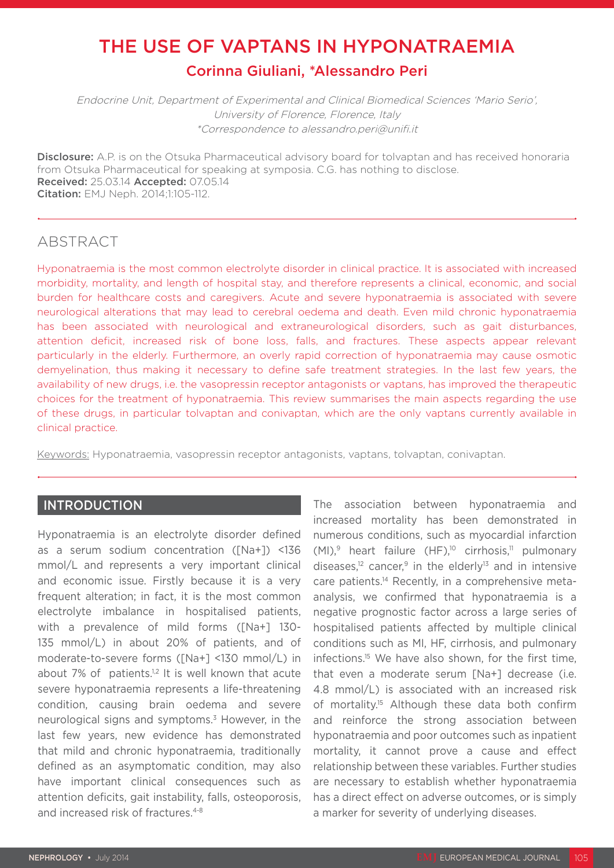# THE USE OF VAPTANS IN HYPONATRAEMIA Corinna Giuliani, \*Alessandro Peri

Endocrine Unit, Department of Experimental and Clinical Biomedical Sciences 'Mario Serio', University of Florence, Florence, Italy \*Correspondence to alessandro.peri@unifi.it

**Disclosure:** A.P. is on the Otsuka Pharmaceutical advisory board for tolvaptan and has received honoraria from Otsuka Pharmaceutical for speaking at symposia. C.G. has nothing to disclose. Received: 25.03.14 Accepted: 07.05.14 Citation: EMJ Neph. 2014;1:105-112.

# ABSTRACT

Hyponatraemia is the most common electrolyte disorder in clinical practice. It is associated with increased morbidity, mortality, and length of hospital stay, and therefore represents a clinical, economic, and social burden for healthcare costs and caregivers. Acute and severe hyponatraemia is associated with severe neurological alterations that may lead to cerebral oedema and death. Even mild chronic hyponatraemia has been associated with neurological and extraneurological disorders, such as gait disturbances, attention deficit, increased risk of bone loss, falls, and fractures. These aspects appear relevant particularly in the elderly. Furthermore, an overly rapid correction of hyponatraemia may cause osmotic demyelination, thus making it necessary to define safe treatment strategies. In the last few years, the availability of new drugs, i.e. the vasopressin receptor antagonists or vaptans, has improved the therapeutic choices for the treatment of hyponatraemia. This review summarises the main aspects regarding the use of these drugs, in particular tolvaptan and conivaptan, which are the only vaptans currently available in clinical practice.

Keywords: Hyponatraemia, vasopressin receptor antagonists, vaptans, tolvaptan, conivaptan.

## INTRODUCTION

Hyponatraemia is an electrolyte disorder defined as a serum sodium concentration ([Na+]) <136 mmol/L and represents a very important clinical and economic issue. Firstly because it is a very frequent alteration; in fact, it is the most common electrolyte imbalance in hospitalised patients, with a prevalence of mild forms ([Na+] 130- 135 mmol/L) in about 20% of patients, and of moderate-to-severe forms ([Na+] <130 mmol/L) in about 7% of patients.<sup>1,2</sup> It is well known that acute severe hyponatraemia represents a life-threatening condition, causing brain oedema and severe neurological signs and symptoms.3 However, in the last few years, new evidence has demonstrated that mild and chronic hyponatraemia, traditionally defined as an asymptomatic condition, may also have important clinical consequences such as attention deficits, gait instability, falls, osteoporosis, and increased risk of fractures.<sup>4-8</sup>

The association between hyponatraemia and increased mortality has been demonstrated in numerous conditions, such as myocardial infarction  $(MI)$ ,<sup>9</sup> heart failure  $(HF)$ ,<sup>10</sup> cirrhosis,<sup>11</sup> pulmonary diseases,<sup>12</sup> cancer,<sup>9</sup> in the elderly<sup>13</sup> and in intensive care patients.14 Recently, in a comprehensive metaanalysis, we confirmed that hyponatraemia is a negative prognostic factor across a large series of hospitalised patients affected by multiple clinical conditions such as MI, HF, cirrhosis, and pulmonary infections.15 We have also shown, for the first time, that even a moderate serum [Na+] decrease (i.e. 4.8 mmol/L) is associated with an increased risk of mortality.<sup>15</sup> Although these data both confirm and reinforce the strong association between hyponatraemia and poor outcomes such as inpatient mortality, it cannot prove a cause and effect relationship between these variables. Further studies are necessary to establish whether hyponatraemia has a direct effect on adverse outcomes, or is simply a marker for severity of underlying diseases.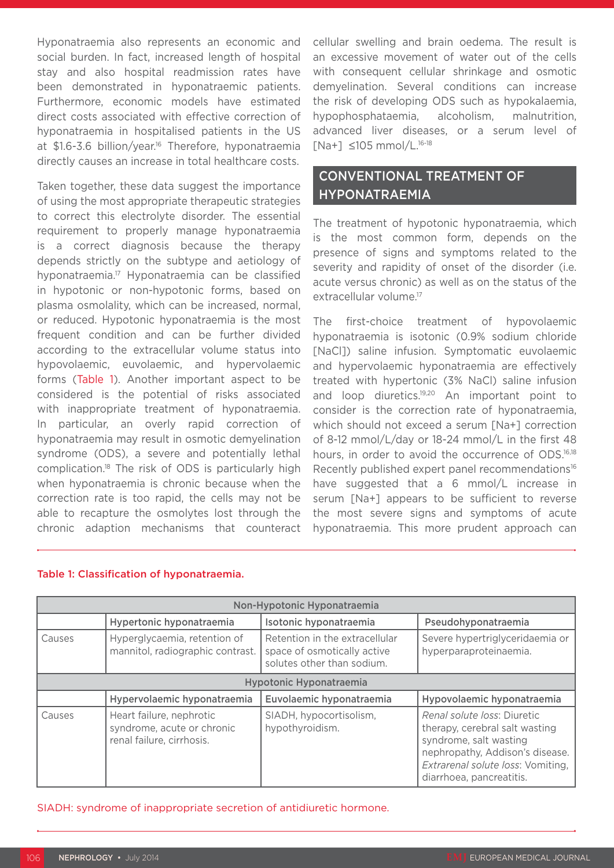Hyponatraemia also represents an economic and social burden. In fact, increased length of hospital stay and also hospital readmission rates have been demonstrated in hyponatraemic patients. Furthermore, economic models have estimated direct costs associated with effective correction of hyponatraemia in hospitalised patients in the US at \$1.6-3.6 billion/year.<sup>16</sup> Therefore, hyponatraemia directly causes an increase in total healthcare costs.

Taken together, these data suggest the importance of using the most appropriate therapeutic strategies to correct this electrolyte disorder. The essential requirement to properly manage hyponatraemia is a correct diagnosis because the therapy depends strictly on the subtype and aetiology of hyponatraemia.17 Hyponatraemia can be classified in hypotonic or non-hypotonic forms, based on plasma osmolality, which can be increased, normal, or reduced. Hypotonic hyponatraemia is the most frequent condition and can be further divided according to the extracellular volume status into hypovolaemic, euvolaemic, and hypervolaemic forms (Table 1). Another important aspect to be considered is the potential of risks associated with inappropriate treatment of hyponatraemia. In particular, an overly rapid correction of hyponatraemia may result in osmotic demyelination syndrome (ODS), a severe and potentially lethal complication.18 The risk of ODS is particularly high when hyponatraemia is chronic because when the correction rate is too rapid, the cells may not be able to recapture the osmolytes lost through the chronic adaption mechanisms that counteract cellular swelling and brain oedema. The result is an excessive movement of water out of the cells with consequent cellular shrinkage and osmotic demyelination. Several conditions can increase the risk of developing ODS such as hypokalaemia, hypophosphataemia, alcoholism, malnutrition, advanced liver diseases, or a serum level of [Na+] ≤105 mmol/L.16-18

# CONVENTIONAL TREATMENT OF HYPONATRAEMIA

The treatment of hypotonic hyponatraemia, which is the most common form, depends on the presence of signs and symptoms related to the severity and rapidity of onset of the disorder (i.e. acute versus chronic) as well as on the status of the extracellular volume.17

The first-choice treatment of hypovolaemic hyponatraemia is isotonic (0.9% sodium chloride [NaCl]) saline infusion. Symptomatic euvolaemic and hypervolaemic hyponatraemia are effectively treated with hypertonic (3% NaCl) saline infusion and loop diuretics.<sup>19,20</sup> An important point to consider is the correction rate of hyponatraemia, which should not exceed a serum [Na+] correction of 8-12 mmol/L/day or 18-24 mmol/L in the first 48 hours, in order to avoid the occurrence of ODS.<sup>16,18</sup> Recently published expert panel recommendations<sup>16</sup> have suggested that a 6 mmol/L increase in serum [Na+] appears to be sufficient to reverse the most severe signs and symptoms of acute hyponatraemia. This more prudent approach can

| Non-Hypotonic Hyponatraemia |                                                                                     |                                                                                             |                                                                                                                                                                                             |  |  |  |
|-----------------------------|-------------------------------------------------------------------------------------|---------------------------------------------------------------------------------------------|---------------------------------------------------------------------------------------------------------------------------------------------------------------------------------------------|--|--|--|
|                             | Hypertonic hyponatraemia                                                            | Isotonic hyponatraemia                                                                      | Pseudohyponatraemia                                                                                                                                                                         |  |  |  |
| Causes                      | Hyperglycaemia, retention of<br>mannitol, radiographic contrast.                    | Retention in the extracellular<br>space of osmotically active<br>solutes other than sodium. | Severe hypertriglyceridaemia or<br>hyperparaproteinaemia.                                                                                                                                   |  |  |  |
| Hypotonic Hyponatraemia     |                                                                                     |                                                                                             |                                                                                                                                                                                             |  |  |  |
|                             | Hypervolaemic hyponatraemia                                                         | Euvolaemic hyponatraemia                                                                    | Hypovolaemic hyponatraemia                                                                                                                                                                  |  |  |  |
| Causes                      | Heart failure, nephrotic<br>syndrome, acute or chronic<br>renal failure, cirrhosis. | SIADH, hypocortisolism,<br>hypothyroidism.                                                  | Renal solute loss: Diuretic<br>therapy, cerebral salt wasting<br>syndrome, salt wasting<br>nephropathy, Addison's disease.<br>Extrarenal solute loss: Vomiting,<br>diarrhoea, pancreatitis. |  |  |  |

#### Table 1: Classification of hyponatraemia.

SIADH: syndrome of inappropriate secretion of antidiuretic hormone.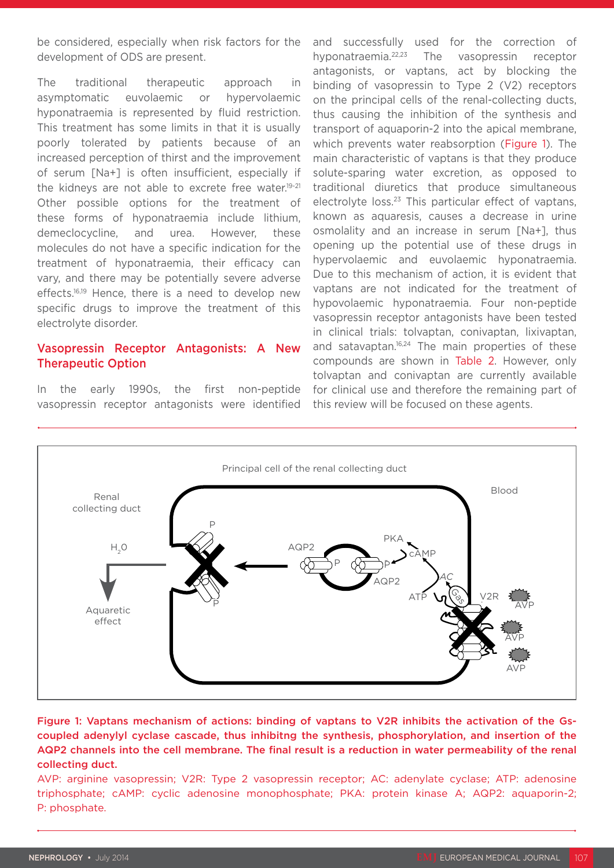be considered, especially when risk factors for the development of ODS are present.

The traditional therapeutic approach in asymptomatic euvolaemic or hypervolaemic hyponatraemia is represented by fluid restriction. This treatment has some limits in that it is usually poorly tolerated by patients because of an increased perception of thirst and the improvement of serum [Na+] is often insufficient, especially if the kidneys are not able to excrete free water.<sup>19-21</sup> Other possible options for the treatment of these forms of hyponatraemia include lithium, demeclocycline, and urea. However, these molecules do not have a specific indication for the treatment of hyponatraemia, their efficacy can vary, and there may be potentially severe adverse effects.<sup>16,19</sup> Hence, there is a need to develop new specific drugs to improve the treatment of this electrolyte disorder.

### Vasopressin Receptor Antagonists: A New Therapeutic Option

In the early 1990s, the first non-peptide vasopressin receptor antagonists were identified and successfully used for the correction of hyponatraemia.22,23 The vasopressin receptor antagonists, or vaptans, act by blocking the binding of vasopressin to Type 2 (V2) receptors on the principal cells of the renal-collecting ducts, thus causing the inhibition of the synthesis and transport of aquaporin-2 into the apical membrane, which prevents water reabsorption (Figure 1). The main characteristic of vaptans is that they produce solute-sparing water excretion, as opposed to traditional diuretics that produce simultaneous electrolyte loss.<sup>23</sup> This particular effect of vaptans, known as aquaresis, causes a decrease in urine osmolality and an increase in serum [Na+], thus opening up the potential use of these drugs in hypervolaemic and euvolaemic hyponatraemia. Due to this mechanism of action, it is evident that vaptans are not indicated for the treatment of hypovolaemic hyponatraemia. Four non-peptide vasopressin receptor antagonists have been tested in clinical trials: tolvaptan, conivaptan, lixivaptan, and satavaptan.<sup>16,24</sup> The main properties of these compounds are shown in Table 2. However, only tolvaptan and conivaptan are currently available for clinical use and therefore the remaining part of this review will be focused on these agents.



Figure 1: Vaptans mechanism of actions: binding of vaptans to V2R inhibits the activation of the Gscoupled adenylyl cyclase cascade, thus inhibitng the synthesis, phosphorylation, and insertion of the AQP2 channels into the cell membrane. The final result is a reduction in water permeability of the renal collecting duct.

AVP: arginine vasopressin; V2R: Type 2 vasopressin receptor; AC: adenylate cyclase; ATP: adenosine triphosphate; cAMP: cyclic adenosine monophosphate; PKA: protein kinase A; AQP2: aquaporin-2; P: phosphate.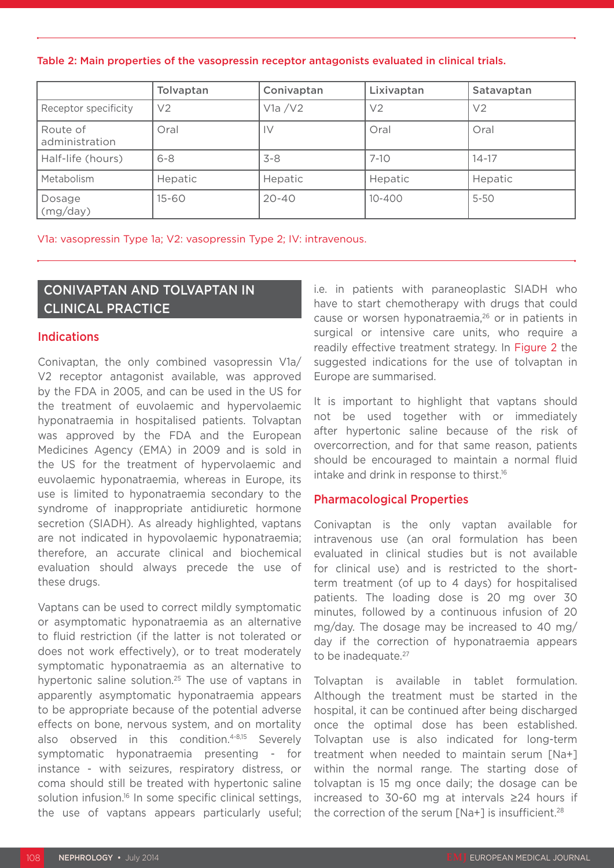Table 2: Main properties of the vasopressin receptor antagonists evaluated in clinical trials.

|                            | Tolvaptan      | Conivaptan | Lixivaptan     | Satavaptan     |
|----------------------------|----------------|------------|----------------|----------------|
| Receptor specificity       | V <sub>2</sub> | V1a/V2     | V <sub>2</sub> | V <sub>2</sub> |
| Route of<br>administration | Oral           | ΙV         | Oral           | Oral           |
| Half-life (hours)          | $6 - 8$        | $3 - 8$    | $7 - 10$       | $14 - 17$      |
| Metabolism                 | Hepatic        | Hepatic    | Hepatic        | Hepatic        |
| Dosage<br>(mg/day)         | $15 - 60$      | $20 - 40$  | $10 - 400$     | $5 - 50$       |

V1a: vasopressin Type 1a; V2: vasopressin Type 2; IV: intravenous.

# CONIVAPTAN AND TOLVAPTAN IN CLINICAL PRACTICE

#### Indications

Conivaptan, the only combined vasopressin V1a/ V2 receptor antagonist available, was approved by the FDA in 2005, and can be used in the US for the treatment of euvolaemic and hypervolaemic hyponatraemia in hospitalised patients. Tolvaptan was approved by the FDA and the European Medicines Agency (EMA) in 2009 and is sold in the US for the treatment of hypervolaemic and euvolaemic hyponatraemia, whereas in Europe, its use is limited to hyponatraemia secondary to the syndrome of inappropriate antidiuretic hormone secretion (SIADH). As already highlighted, vaptans are not indicated in hypovolaemic hyponatraemia; therefore, an accurate clinical and biochemical evaluation should always precede the use of these drugs.

Vaptans can be used to correct mildly symptomatic or asymptomatic hyponatraemia as an alternative to fluid restriction (if the latter is not tolerated or does not work effectively), or to treat moderately symptomatic hyponatraemia as an alternative to hypertonic saline solution.<sup>25</sup> The use of vaptans in apparently asymptomatic hyponatraemia appears to be appropriate because of the potential adverse effects on bone, nervous system, and on mortality also observed in this condition.<sup>4-8,15</sup> Severely symptomatic hyponatraemia presenting - for instance - with seizures, respiratory distress, or coma should still be treated with hypertonic saline solution infusion.<sup>16</sup> In some specific clinical settings, the use of vaptans appears particularly useful; i.e. in patients with paraneoplastic SIADH who have to start chemotherapy with drugs that could cause or worsen hyponatraemia, $26$  or in patients in surgical or intensive care units, who require a readily effective treatment strategy. In Figure 2 the suggested indications for the use of tolvaptan in Europe are summarised.

It is important to highlight that vaptans should not be used together with or immediately after hypertonic saline because of the risk of overcorrection, and for that same reason, patients should be encouraged to maintain a normal fluid intake and drink in response to thirst.<sup>16</sup>

## Pharmacological Properties

Conivaptan is the only vaptan available for intravenous use (an oral formulation has been evaluated in clinical studies but is not available for clinical use) and is restricted to the shortterm treatment (of up to 4 days) for hospitalised patients. The loading dose is 20 mg over 30 minutes, followed by a continuous infusion of 20 mg/day. The dosage may be increased to 40 mg/ day if the correction of hyponatraemia appears to be inadequate.<sup>27</sup>

Tolvaptan is available in tablet formulation. Although the treatment must be started in the hospital, it can be continued after being discharged once the optimal dose has been established. Tolvaptan use is also indicated for long-term treatment when needed to maintain serum [Na+] within the normal range. The starting dose of tolvaptan is 15 mg once daily; the dosage can be increased to 30-60 mg at intervals ≥24 hours if the correction of the serum  $[Na+]$  is insufficient.<sup>28</sup>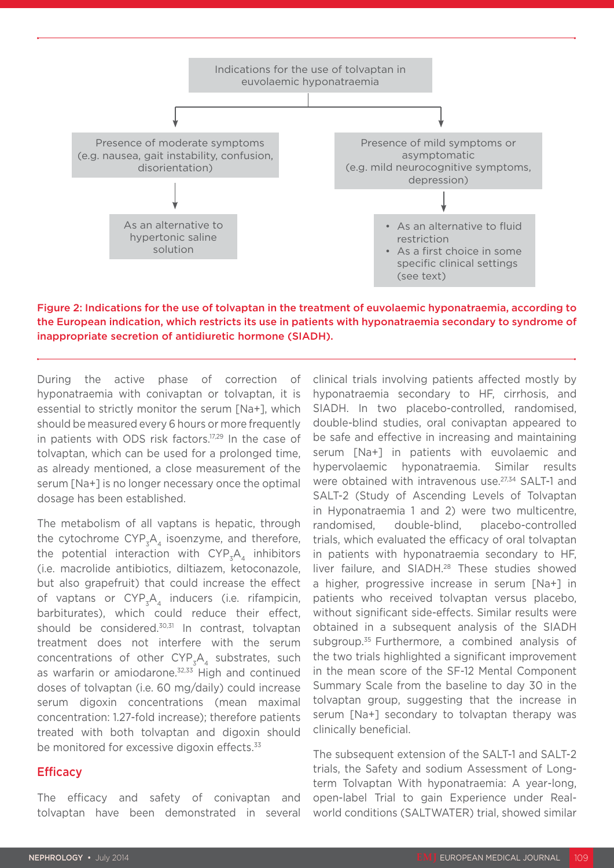

Figure 2: Indications for the use of tolvaptan in the treatment of euvolaemic hyponatraemia, according to the European indication, which restricts its use in patients with hyponatraemia secondary to syndrome of inappropriate secretion of antidiuretic hormone (SIADH).

During the active phase of correction of hyponatraemia with conivaptan or tolvaptan, it is essential to strictly monitor the serum [Na+], which should be measured every 6 hours or more frequently in patients with ODS risk factors.<sup>17,29</sup> In the case of tolvaptan, which can be used for a prolonged time, as already mentioned, a close measurement of the serum [Na+] is no longer necessary once the optimal dosage has been established.

The metabolism of all vaptans is hepatic, through the cytochrome  $\text{CYP}_{z}A_{4}$  isoenzyme, and therefore, the potential interaction with  $\text{CYP}_{\mathfrak{z}}\text{A}_{\mathfrak{z}}$  inhibitors (i.e. macrolide antibiotics, diltiazem, ketoconazole, but also grapefruit) that could increase the effect of vaptans or  $\text{CYP}_{z}A_{4}$  inducers (i.e. rifampicin, barbiturates), which could reduce their effect, should be considered.<sup>30,31</sup> In contrast, tolvaptan treatment does not interfere with the serum concentrations of other  $\text{CYP}_{z}A_{4}$  substrates, such as warfarin or amiodarone.<sup>32,33</sup> High and continued doses of tolvaptan (i.e. 60 mg/daily) could increase serum digoxin concentrations (mean maximal concentration: 1.27-fold increase); therefore patients treated with both tolvaptan and digoxin should be monitored for excessive digoxin effects.<sup>33</sup>

#### **Efficacy**

The efficacy and safety of conivaptan and tolvaptan have been demonstrated in several clinical trials involving patients affected mostly by hyponatraemia secondary to HF, cirrhosis, and SIADH. In two placebo-controlled, randomised, double-blind studies, oral conivaptan appeared to be safe and effective in increasing and maintaining serum [Na+] in patients with euvolaemic and hypervolaemic hyponatraemia. Similar results were obtained with intravenous use.<sup>27,34</sup> SALT-1 and SALT-2 (Study of Ascending Levels of Tolvaptan in Hyponatraemia 1 and 2) were two multicentre, randomised, double-blind, placebo-controlled trials, which evaluated the efficacy of oral tolvaptan in patients with hyponatraemia secondary to HF, liver failure, and SIADH.<sup>28</sup> These studies showed a higher, progressive increase in serum [Na+] in patients who received tolvaptan versus placebo, without significant side-effects. Similar results were obtained in a subsequent analysis of the SIADH subgroup.<sup>35</sup> Furthermore, a combined analysis of the two trials highlighted a significant improvement in the mean score of the SF-12 Mental Component Summary Scale from the baseline to day 30 in the tolvaptan group, suggesting that the increase in serum [Na+] secondary to tolvaptan therapy was clinically beneficial.

The subsequent extension of the SALT-1 and SALT-2 trials, the Safety and sodium Assessment of Longterm Tolvaptan With hyponatraemia: A year-long, open-label Trial to gain Experience under Realworld conditions (SALTWATER) trial, showed similar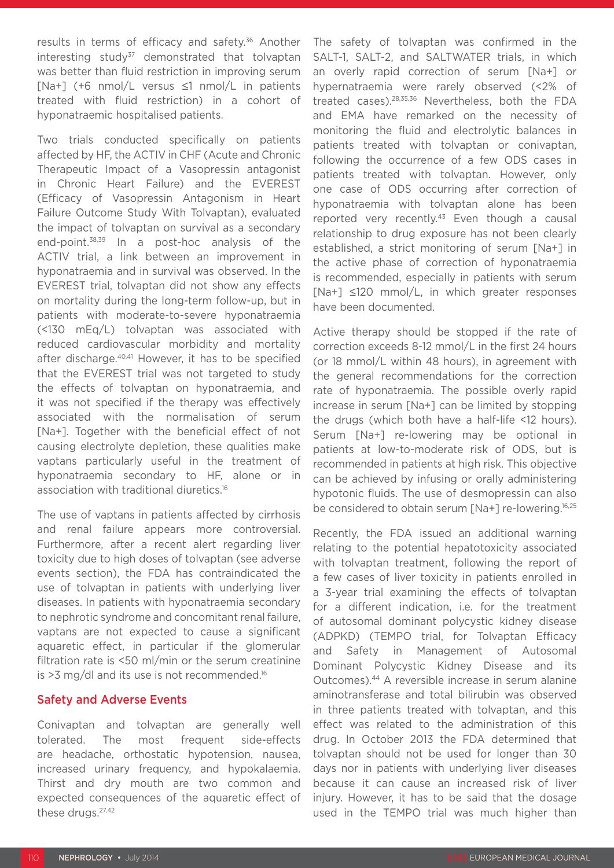results in terms of efficacy and safety.<sup>36</sup> Another interesting study $37$  demonstrated that tolvaptan was better than fluid restriction in improving serum [Na+] (+6 nmol/L versus ≤1 nmol/L in patients treated with fluid restriction) in a cohort of hyponatraemic hospitalised patients.

Two trials conducted specifically on patients affected by HF, the ACTIV in CHF (Acute and Chronic Therapeutic Impact of a Vasopressin antagonist in Chronic Heart Failure) and the EVEREST (Efficacy of Vasopressin Antagonism in Heart Failure Outcome Study With Tolvaptan), evaluated the impact of tolvaptan on survival as a secondary end-point.38,39 In a post-hoc analysis of the ACTIV trial, a link between an improvement in hyponatraemia and in survival was observed. In the EVEREST trial, tolvaptan did not show any effects on mortality during the long-term follow-up, but in patients with moderate-to-severe hyponatraemia (<130 mEq/L) tolvaptan was associated with reduced cardiovascular morbidity and mortality after discharge.40,41 However, it has to be specified that the EVEREST trial was not targeted to study the effects of tolvaptan on hyponatraemia, and it was not specified if the therapy was effectively associated with the normalisation of serum [Na+]. Together with the beneficial effect of not causing electrolyte depletion, these qualities make vaptans particularly useful in the treatment of hyponatraemia secondary to HF, alone or in association with traditional diuretics.16

The use of vaptans in patients affected by cirrhosis and renal failure appears more controversial. Furthermore, after a recent alert regarding liver toxicity due to high doses of tolvaptan (see adverse events section), the FDA has contraindicated the use of tolvaptan in patients with underlying liver diseases. In patients with hyponatraemia secondary to nephrotic syndrome and concomitant renal failure, vaptans are not expected to cause a significant aquaretic effect, in particular if the glomerular filtration rate is <50 ml/min or the serum creatinine is >3 mg/dl and its use is not recommended.<sup>16</sup>

#### Safety and Adverse Events

Conivaptan and tolvaptan are generally well tolerated. The most frequent side-effects are headache, orthostatic hypotension, nausea, increased urinary frequency, and hypokalaemia. Thirst and dry mouth are two common and expected consequences of the aquaretic effect of these drugs.<sup>27,42</sup>

The safety of tolvaptan was confirmed in the SALT-1, SALT-2, and SALTWATER trials, in which an overly rapid correction of serum [Na+] or hypernatraemia were rarely observed (<2% of treated cases).28,35,36 Nevertheless, both the FDA and EMA have remarked on the necessity of monitoring the fluid and electrolytic balances in patients treated with tolvaptan or conivaptan, following the occurrence of a few ODS cases in patients treated with tolvaptan. However, only one case of ODS occurring after correction of hyponatraemia with tolvaptan alone has been reported very recently.<sup>43</sup> Even though a causal relationship to drug exposure has not been clearly established, a strict monitoring of serum [Na+] in the active phase of correction of hyponatraemia is recommended, especially in patients with serum [Na+] ≤120 mmol/L, in which greater responses have been documented.

Active therapy should be stopped if the rate of correction exceeds 8-12 mmol/L in the first 24 hours (or 18 mmol/L within 48 hours), in agreement with the general recommendations for the correction rate of hyponatraemia. The possible overly rapid increase in serum [Na+] can be limited by stopping the drugs (which both have a half-life <12 hours). Serum [Na+] re-lowering may be optional in patients at low-to-moderate risk of ODS, but is recommended in patients at high risk. This objective can be achieved by infusing or orally administering hypotonic fluids. The use of desmopressin can also be considered to obtain serum [Na+] re-lowering.16,25

Recently, the FDA issued an additional warning relating to the potential hepatotoxicity associated with tolvaptan treatment, following the report of a few cases of liver toxicity in patients enrolled in a 3-year trial examining the effects of tolvaptan for a different indication, i.e. for the treatment of autosomal dominant polycystic kidney disease (ADPKD) (TEMPO trial, for Tolvaptan Efficacy and Safety in Management of Autosomal Dominant Polycystic Kidney Disease and its Outcomes).44 A reversible increase in serum alanine aminotransferase and total bilirubin was observed in three patients treated with tolvaptan, and this effect was related to the administration of this drug. In October 2013 the FDA determined that tolvaptan should not be used for longer than 30 days nor in patients with underlying liver diseases because it can cause an increased risk of liver injury. However, it has to be said that the dosage used in the TEMPO trial was much higher than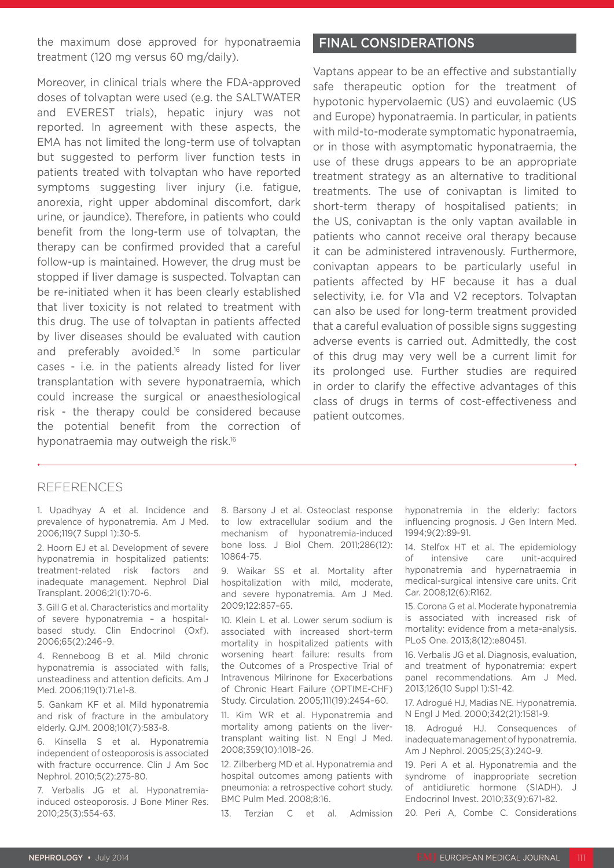the maximum dose approved for hyponatraemia treatment (120 mg versus 60 mg/daily).

Moreover, in clinical trials where the FDA-approved doses of tolvaptan were used (e.g. the SALTWATER and EVEREST trials), hepatic injury was not reported. In agreement with these aspects, the EMA has not limited the long-term use of tolvaptan but suggested to perform liver function tests in patients treated with tolvaptan who have reported symptoms suggesting liver injury (i.e. fatigue, anorexia, right upper abdominal discomfort, dark urine, or jaundice). Therefore, in patients who could benefit from the long-term use of tolvaptan, the therapy can be confirmed provided that a careful follow-up is maintained. However, the drug must be stopped if liver damage is suspected. Tolvaptan can be re-initiated when it has been clearly established that liver toxicity is not related to treatment with this drug. The use of tolvaptan in patients affected by liver diseases should be evaluated with caution and preferably avoided.<sup>16</sup> In some particular cases - i.e. in the patients already listed for liver transplantation with severe hyponatraemia, which could increase the surgical or anaesthesiological risk - the therapy could be considered because the potential benefit from the correction of hyponatraemia may outweigh the risk.<sup>16</sup>

### FINAL CONSIDERATIONS

Vaptans appear to be an effective and substantially safe therapeutic option for the treatment of hypotonic hypervolaemic (US) and euvolaemic (US and Europe) hyponatraemia. In particular, in patients with mild-to-moderate symptomatic hyponatraemia, or in those with asymptomatic hyponatraemia, the use of these drugs appears to be an appropriate treatment strategy as an alternative to traditional treatments. The use of conivaptan is limited to short-term therapy of hospitalised patients; in the US, conivaptan is the only vaptan available in patients who cannot receive oral therapy because it can be administered intravenously. Furthermore, conivaptan appears to be particularly useful in patients affected by HF because it has a dual selectivity, i.e. for V1a and V2 receptors. Tolvaptan can also be used for long-term treatment provided that a careful evaluation of possible signs suggesting adverse events is carried out. Admittedly, the cost of this drug may very well be a current limit for its prolonged use. Further studies are required in order to clarify the effective advantages of this class of drugs in terms of cost-effectiveness and patient outcomes.

#### REFERENCES

1. Upadhyay A et al. Incidence and prevalence of hyponatremia. Am J Med. 2006;119(7 Suppl 1):30-5.

2. Hoorn EJ et al. Development of severe hyponatremia in hospitalized patients: treatment-related risk factors and inadequate management. Nephrol Dial Transplant. 2006;21(1):70-6.

3. Gill G et al. Characteristics and mortality of severe hyponatremia – a hospitalbased study. Clin Endocrinol (Oxf). 2006;65(2):246–9.

4. Renneboog B et al. Mild chronic hyponatremia is associated with falls, unsteadiness and attention deficits. Am J Med. 2006;119(1):71.e1-8.

5. Gankam KF et al. Mild hyponatremia and risk of fracture in the ambulatory elderly. QJM. 2008;101(7):583-8.

6. Kinsella S et al. Hyponatremia independent of osteoporosis is associated with fracture occurrence. Clin J Am Soc Nephrol. 2010;5(2):275-80.

7. Verbalis JG et al. Hyponatremiainduced osteoporosis. J Bone Miner Res. 2010;25(3):554-63.

8. Barsony J et al. Osteoclast response to low extracellular sodium and the mechanism of hyponatremia-induced bone loss. J Biol Chem. 2011;286(12): 10864-75.

9. Waikar SS et al. Mortality after hospitalization with mild, moderate, and severe hyponatremia. Am J Med. 2009;122:857–65.

10. Klein L et al. Lower serum sodium is associated with increased short-term mortality in hospitalized patients with worsening heart failure: results from the Outcomes of a Prospective Trial of Intravenous Milrinone for Exacerbations of Chronic Heart Failure (OPTIME-CHF) Study. Circulation. 2005;111(19):2454–60.

11. Kim WR et al. Hyponatremia and mortality among patients on the livertransplant waiting list. N Engl J Med. 2008;359(10):1018–26.

12. Zilberberg MD et al. Hyponatremia and hospital outcomes among patients with pneumonia: a retrospective cohort study. BMC Pulm Med. 2008;8:16.

13. Terzian C et al. Admission

hyponatremia in the elderly: factors influencing prognosis. J Gen Intern Med. 1994;9(2):89-91.

14. Stelfox HT et al. The epidemiology of intensive care unit-acquired hyponatremia and hypernatraemia in medical-surgical intensive care units. Crit Car. 2008;12(6):R162.

15. Corona G et al. Moderate hyponatremia is associated with increased risk of mortality: evidence from a meta-analysis. PLoS One. 2013;8(12):e80451.

16. Verbalis JG et al. Diagnosis, evaluation, and treatment of hyponatremia: expert panel recommendations. Am J Med. 2013;126(10 Suppl 1):S1-42.

17. Adrogué HJ, Madias NE. Hyponatremia. N Engl J Med. 2000;342(21):1581-9.

18. Adrogué HJ. Consequences of inadequate management of hyponatremia. Am J Nephrol. 2005;25(3):240-9.

19. Peri A et al. Hyponatremia and the syndrome of inappropriate secretion of antidiuretic hormone (SIADH). J Endocrinol Invest. 2010;33(9):671-82.

20. Peri A, Combe C. Considerations